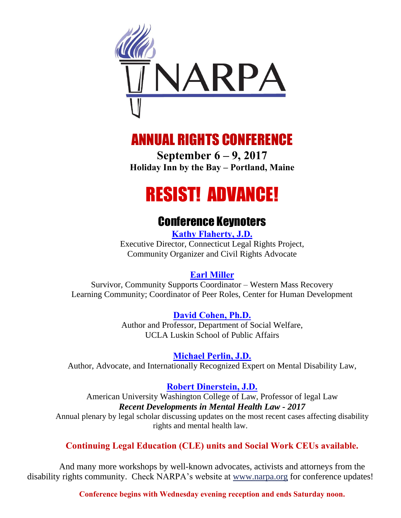

# ANNUAL RIGHTS CONFERENCE

**September 6 – 9, 2017 Holiday Inn by the Bay – Portland, Maine**

# RESIST! ADVANCE!

# Conference Keynoters

**[Kathy Flaherty, J.D.](http://www.narpa.org/flaherty.htm)** Executive Director, Connecticut Legal Rights Project, Community Organizer and Civil Rights Advocate

# **[Earl Miller](http://www.narpa.org/miller.htm)**

Survivor, Community Supports Coordinator – Western Mass Recovery Learning Community; Coordinator of Peer Roles, Center for Human Development

> **[David Cohen, Ph.D.](http://www.narpa.org/david_cohen.htm)** Author and Professor, Department of Social Welfare, UCLA Luskin School of Public Affairs

> > **[Michael Perlin, J.D.](http://www.narpa.org/perlin.htm)**

Author, Advocate, and Internationally Recognized Expert on Mental Disability Law,

# **[Robert Dinerstein, J.D.](http://www.narpa.org/dinerstein.htm)**

American University Washington College of Law, Professor of legal Law *Recent Developments in Mental Health Law - 2017*

Annual plenary by legal scholar discussing updates on the most recent cases affecting disability rights and mental health law.

# **Continuing Legal Education (CLE) units and Social Work CEUs available.**

And many more workshops by well-known advocates, activists and attorneys from the disability rights community. Check NARPA's website at www.narpa.org for conference updates!

**Conference begins with Wednesday evening reception and ends Saturday noon.**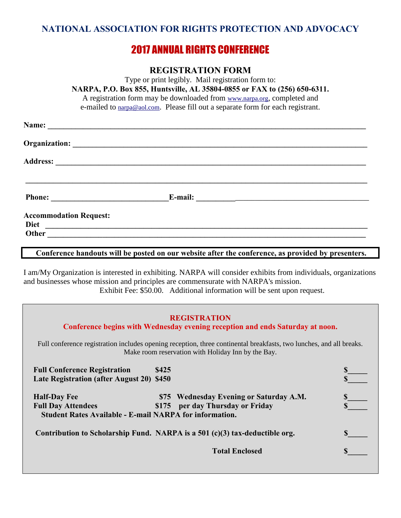#### **NATIONAL ASSOCIATION FOR RIGHTS PROTECTION AND ADVOCACY**

# 2017 ANNUAL RIGHTS CONFERENCE

#### **REGISTRATION FORM**

Type or print legibly. Mail registration form to: **NARPA, P.O. Box 855, Huntsville, AL 35804-0855 or FAX to (256) 650-6311.**  A registration form may be downloaded from www.narpa.org, completed and e-mailed to narpa@aol.com. Please fill out a separate form for each registrant. **Name: \_\_\_\_\_\_\_\_\_\_\_\_\_\_\_\_\_\_\_\_\_\_\_\_\_\_\_\_\_\_\_\_\_\_\_\_\_\_\_\_\_\_\_\_\_\_\_\_\_\_\_\_\_\_\_\_\_\_\_\_\_\_\_\_\_\_\_\_\_\_\_\_\_\_\_\_\_\_\_\_\_ Organization: \_\_\_\_\_\_\_\_\_\_\_\_\_\_\_\_\_\_\_\_\_\_\_\_\_\_\_\_\_\_\_\_\_\_\_\_\_\_\_\_\_\_\_\_\_\_\_\_\_\_\_\_\_\_\_\_\_\_\_\_\_\_\_\_\_\_\_\_\_\_\_\_\_\_\_ Address: \_\_\_\_\_\_\_\_\_\_\_\_\_\_\_\_\_\_\_\_\_\_\_\_\_\_\_\_\_\_\_\_\_\_\_\_\_\_\_\_\_\_\_\_\_\_\_\_\_\_\_\_\_\_\_\_\_\_\_\_\_\_\_\_\_\_\_\_\_\_\_\_\_\_\_\_\_\_\_ \_\_\_\_\_\_\_\_\_\_\_\_\_\_\_\_\_\_\_\_\_\_\_\_\_\_\_\_\_\_\_\_\_\_\_\_\_\_\_\_\_\_\_\_\_\_\_\_\_\_\_\_\_\_\_\_\_\_\_\_\_\_\_\_\_\_\_\_\_\_\_\_\_\_\_\_\_\_\_\_\_\_\_\_\_\_\_ Phone: E-mail: E-mail: E-mail: E-mail: E-mail: E-mail: E-mail: E-mail: E-mail: E-mail: E-mail: E-mail: E-mail: E-mail: E-mail: E-mail: E-mail: E-mail: E-mail: E-mail: E-mail: E-Accommodation Request: Diet \_\_\_\_\_\_\_\_\_\_\_\_\_\_\_\_\_\_\_\_\_\_\_\_\_\_\_\_\_\_\_\_\_\_\_\_\_\_\_\_\_\_\_\_\_\_\_\_\_\_\_\_\_\_\_\_\_\_\_\_\_\_\_\_\_\_\_\_\_\_\_\_\_\_\_\_\_\_\_\_\_\_ Other** *Let us a set us a set us a set us a set us a set us a set us a set us a set us a set us a set us a set us a set us a set us a set us a set us a set us a set us a set us a set us a set us a set us a set us a set u* 

#### **Conference handouts will be posted on our website after the conference, as provided by presenters.**

I am/My Organization is interested in exhibiting. NARPA will consider exhibits from individuals, organizations and businesses whose mission and principles are commensurate with NARPA's mission. Exhibit Fee: \$50.00. Additional information will be sent upon request.

#### **REGISTRATION**

**Conference begins with Wednesday evening reception and ends Saturday at noon.** Full conference registration includes opening reception, three continental breakfasts, two lunches, and all breaks. Make room reservation with Holiday Inn by the Bay.

| <b>Full Conference Registration</b><br>Late Registration (after August 20) \$450                                   | \$425                                                                          |  |
|--------------------------------------------------------------------------------------------------------------------|--------------------------------------------------------------------------------|--|
| <b>Half-Day Fee</b><br><b>Full Day Attendees</b><br><b>Student Rates Available - E-mail NARPA for information.</b> | \$75 Wednesday Evening or Saturday A.M.<br>per day Thursday or Friday<br>\$175 |  |
|                                                                                                                    | Contribution to Scholarship Fund. NARPA is a 501 $(c)(3)$ tax-deductible org.  |  |
|                                                                                                                    | <b>Total Enclosed</b>                                                          |  |